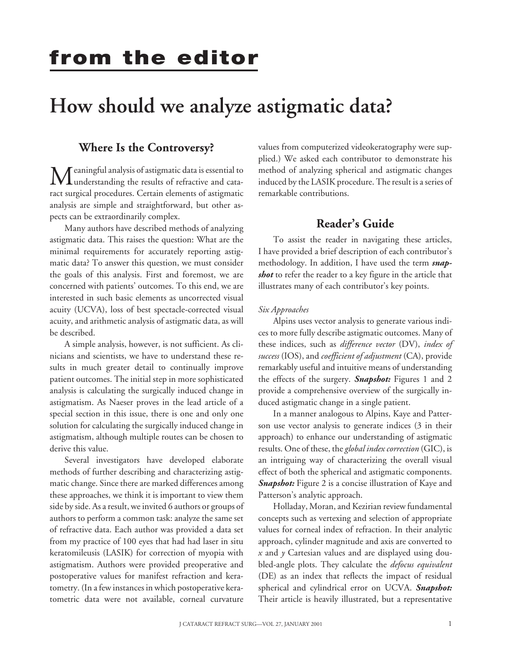# **from the editor**

## **How should we analyze astigmatic data?**

### **Where Is the Controversy?**

Meaningful analysis of astigmatic data is essential to understanding the results of refractive and cataract surgical procedures. Certain elements of astigmatic analysis are simple and straightforward, but other aspects can be extraordinarily complex.

Many authors have described methods of analyzing astigmatic data. This raises the question: What are the minimal requirements for accurately reporting astigmatic data? To answer this question, we must consider the goals of this analysis. First and foremost, we are concerned with patients' outcomes. To this end, we are interested in such basic elements as uncorrected visual acuity (UCVA), loss of best spectacle-corrected visual acuity, and arithmetic analysis of astigmatic data, as will be described.

A simple analysis, however, is not sufficient. As clinicians and scientists, we have to understand these results in much greater detail to continually improve patient outcomes. The initial step in more sophisticated analysis is calculating the surgically induced change in astigmatism. As Naeser proves in the lead article of a special section in this issue, there is one and only one solution for calculating the surgically induced change in astigmatism, although multiple routes can be chosen to derive this value.

Several investigators have developed elaborate methods of further describing and characterizing astigmatic change. Since there are marked differences among these approaches, we think it is important to view them side by side. As a result, we invited 6 authors or groups of authors to perform a common task: analyze the same set of refractive data. Each author was provided a data set from my practice of 100 eyes that had had laser in situ keratomileusis (LASIK) for correction of myopia with astigmatism. Authors were provided preoperative and postoperative values for manifest refraction and keratometry. (In a few instances in which postoperative keratometric data were not available, corneal curvature

values from computerized videokeratography were supplied.) We asked each contributor to demonstrate his method of analyzing spherical and astigmatic changes induced by the LASIK procedure. The result is a series of remarkable contributions.

## **Reader's Guide**

To assist the reader in navigating these articles, I have provided a brief description of each contributor's methodology. In addition, I have used the term *snapshot* to refer the reader to a key figure in the article that illustrates many of each contributor's key points.

#### *Six Approaches*

Alpins uses vector analysis to generate various indices to more fully describe astigmatic outcomes. Many of these indices, such as *difference vector* (DV), *index of success* (IOS), and *coefficient of adjustment* (CA), provide remarkably useful and intuitive means of understanding the effects of the surgery. *Snapshot:* Figures 1 and 2 provide a comprehensive overview of the surgically induced astigmatic change in a single patient.

In a manner analogous to Alpins, Kaye and Patterson use vector analysis to generate indices (3 in their approach) to enhance our understanding of astigmatic results. One of these, the*global index correction* (GIC), is an intriguing way of characterizing the overall visual effect of both the spherical and astigmatic components. *Snapshot:* Figure 2 is a concise illustration of Kaye and Patterson's analytic approach.

Holladay, Moran, and Kezirian review fundamental concepts such as vertexing and selection of appropriate values for corneal index of refraction. In their analytic approach, cylinder magnitude and axis are converted to *x* and *y* Cartesian values and are displayed using doubled-angle plots. They calculate the *defocus equivalent* (DE) as an index that reflects the impact of residual spherical and cylindrical error on UCVA. *Snapshot:* Their article is heavily illustrated, but a representative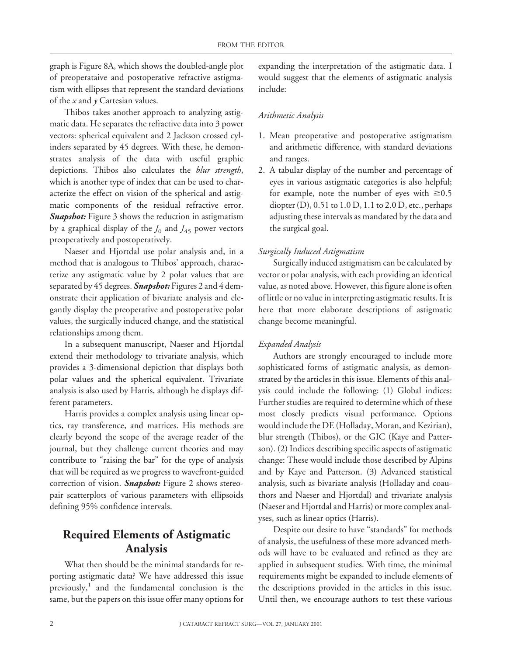graph is Figure 8A, which shows the doubled-angle plot of preoperataive and postoperative refractive astigmatism with ellipses that represent the standard deviations of the *x* and *y* Cartesian values.

Thibos takes another approach to analyzing astigmatic data. He separates the refractive data into 3 power vectors: spherical equivalent and 2 Jackson crossed cylinders separated by 45 degrees. With these, he demonstrates analysis of the data with useful graphic depictions. Thibos also calculates the *blur strength*, which is another type of index that can be used to characterize the effect on vision of the spherical and astigmatic components of the residual refractive error. *Snapshot:* Figure 3 shows the reduction in astigmatism by a graphical display of the  $J_0$  and  $J_{45}$  power vectors preoperatively and postoperatively.

Naeser and Hjortdal use polar analysis and, in a method that is analogous to Thibos' approach, characterize any astigmatic value by 2 polar values that are separated by 45 degrees. *Snapshot:* Figures 2 and 4 demonstrate their application of bivariate analysis and elegantly display the preoperative and postoperative polar values, the surgically induced change, and the statistical relationships among them.

In a subsequent manuscript, Naeser and Hjortdal extend their methodology to trivariate analysis, which provides a 3-dimensional depiction that displays both polar values and the spherical equivalent. Trivariate analysis is also used by Harris, although he displays different parameters.

Harris provides a complex analysis using linear optics, ray transference, and matrices. His methods are clearly beyond the scope of the average reader of the journal, but they challenge current theories and may contribute to "raising the bar" for the type of analysis that will be required as we progress to wavefront-guided correction of vision. *Snapshot:* Figure 2 shows stereopair scatterplots of various parameters with ellipsoids defining 95% confidence intervals.

## **Required Elements of Astigmatic Analysis**

What then should be the minimal standards for reporting astigmatic data? We have addressed this issue previously, $1$  and the fundamental conclusion is the same, but the papers on this issue offer many options for

expanding the interpretation of the astigmatic data. I would suggest that the elements of astigmatic analysis include:

#### *Arithmetic Analysis*

- 1. Mean preoperative and postoperative astigmatism and arithmetic difference, with standard deviations and ranges.
- 2. A tabular display of the number and percentage of eyes in various astigmatic categories is also helpful; for example, note the number of eyes with  $\geq 0.5$ diopter (D), 0.51 to 1.0 D, 1.1 to 2.0 D, etc., perhaps adjusting these intervals as mandated by the data and the surgical goal.

#### *Surgically Induced Astigmatism*

Surgically induced astigmatism can be calculated by vector or polar analysis, with each providing an identical value, as noted above. However, this figure alone is often of little or no value in interpreting astigmatic results. It is here that more elaborate descriptions of astigmatic change become meaningful.

#### *Expanded Analysis*

Authors are strongly encouraged to include more sophisticated forms of astigmatic analysis, as demonstrated by the articles in this issue. Elements of this analysis could include the following: (1) Global indices: Further studies are required to determine which of these most closely predicts visual performance. Options would include the DE (Holladay, Moran, and Kezirian), blur strength (Thibos), or the GIC (Kaye and Patterson). (2) Indices describing specific aspects of astigmatic change: These would include those described by Alpins and by Kaye and Patterson. (3) Advanced statistical analysis, such as bivariate analysis (Holladay and coauthors and Naeser and Hjortdal) and trivariate analysis (Naeser and Hjortdal and Harris) or more complex analyses, such as linear optics (Harris).

Despite our desire to have "standards" for methods of analysis, the usefulness of these more advanced methods will have to be evaluated and refined as they are applied in subsequent studies. With time, the minimal requirements might be expanded to include elements of the descriptions provided in the articles in this issue. Until then, we encourage authors to test these various